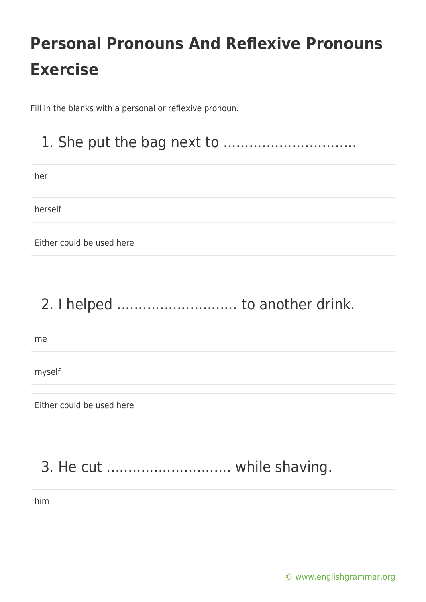Fill in the blanks with a personal or reflexive pronoun.

#### 1. She put the bag next to ...............................

| ٠<br>w<br>w<br>×<br>×<br>_ |  |
|----------------------------|--|
|                            |  |

herself

Either could be used here

### 2. I helped ............................ to another drink.

me

myself

Either could be used here

### 3. He cut ............................. while shaving.

him

[© www.englishgrammar.org](https://www.englishgrammar.org/)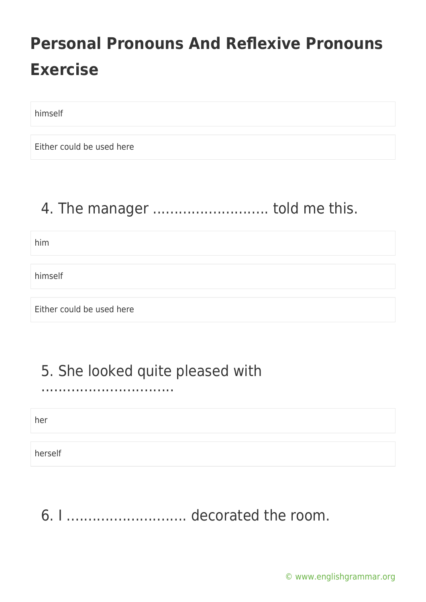himself

Either could be used here

### 4. The manager .............................. told me this.

him

himself

Either could be used here

#### 5. She looked quite pleased with

...............................

her

herself

6. I ............................ decorated the room.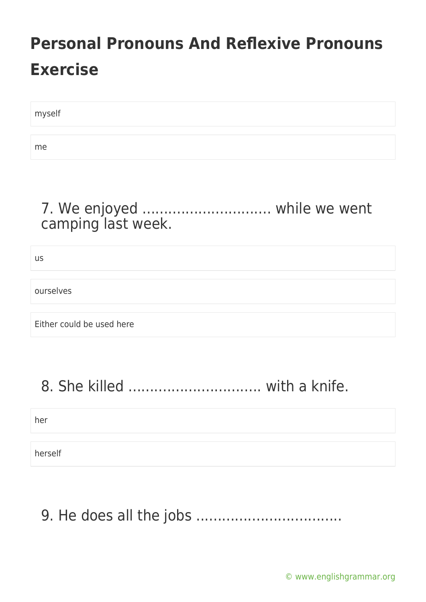| myself |  |
|--------|--|
|        |  |
| me     |  |

#### 7. We enjoyed .............................. while we went camping last week.

us

ourselves

Either could be used here

### 8. She killed ............................... with a knife.

her

herself

### 9. He does all the jobs ..................................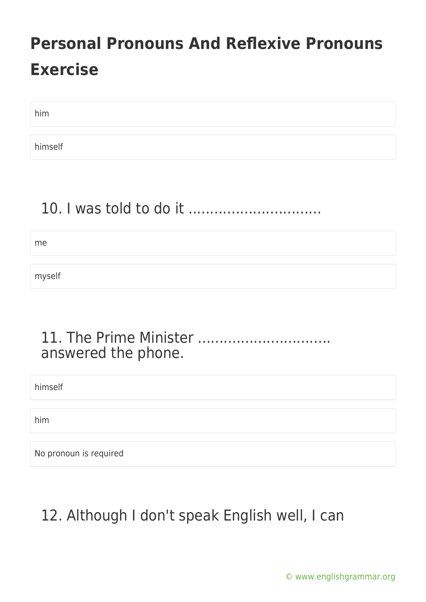him

himself

#### 10. I was told to do it ...............................

me

myself

#### 11. The Prime Minister ............................... answered the phone.

himself

him

No pronoun is required

### 12. Although I don't speak English well, I can